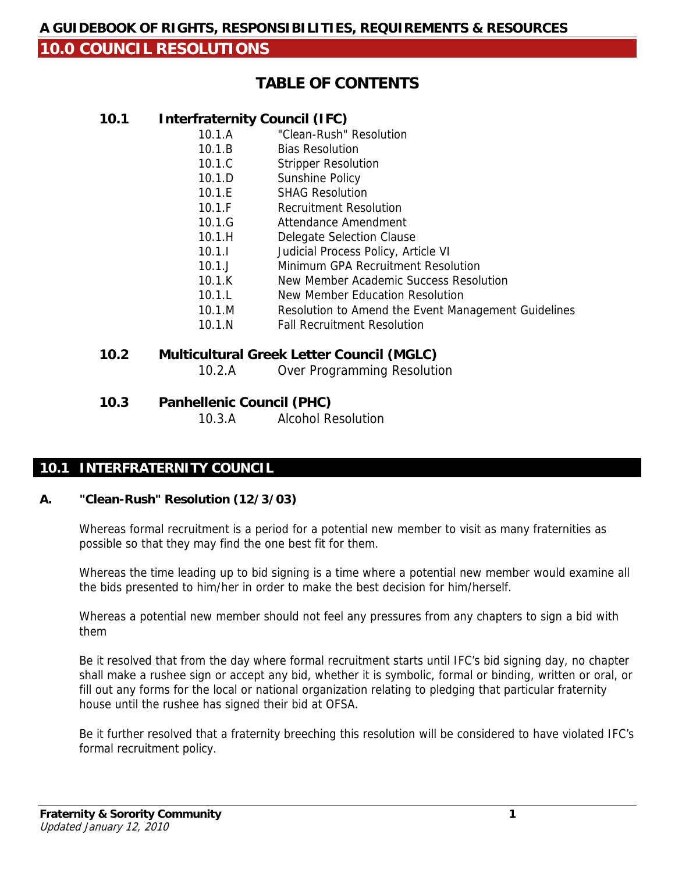# **TABLE OF CONTENTS**

## **10.1 Interfraternity Council (IFC)**

- 10.1.A "Clean-Rush" Resolution
- 10.1.B Bias Resolution
- 10.1.C Stripper Resolution
- 10.1.D Sunshine Policy
- 10.1.E SHAG Resolution
- 10.1.F Recruitment Resolution
- 10.1.G Attendance Amendment
- 10.1.H Delegate Selection Clause
- 10.1.I Judicial Process Policy, Article VI
- 10.1.J Minimum GPA Recruitment Resolution
- 10.1.K New Member Academic Success Resolution
- 10.1.L New Member Education Resolution
- 10.1.M Resolution to Amend the Event Management Guidelines
- 10.1.N Fall Recruitment Resolution

# **10.2 Multicultural Greek Letter Council (MGLC)**

- 10.2.A Over Programming Resolution
- **10.3 Panhellenic Council (PHC)**

10.3.A Alcohol Resolution

## **10.1 INTERFRATERNITY COUNCIL**

### **A. "Clean-Rush" Resolution (12/3/03)**

Whereas formal recruitment is a period for a potential new member to visit as many fraternities as possible so that they may find the one best fit for them.

Whereas the time leading up to bid signing is a time where a potential new member would examine all the bids presented to him/her in order to make the best decision for him/herself.

Whereas a potential new member should not feel any pressures from any chapters to sign a bid with them

Be it resolved that from the day where formal recruitment starts until IFC's bid signing day, no chapter shall make a rushee sign or accept any bid, whether it is symbolic, formal or binding, written or oral, or fill out any forms for the local or national organization relating to pledging that particular fraternity house until the rushee has signed their bid at OFSA.

Be it further resolved that a fraternity breeching this resolution will be considered to have violated IFC's formal recruitment policy.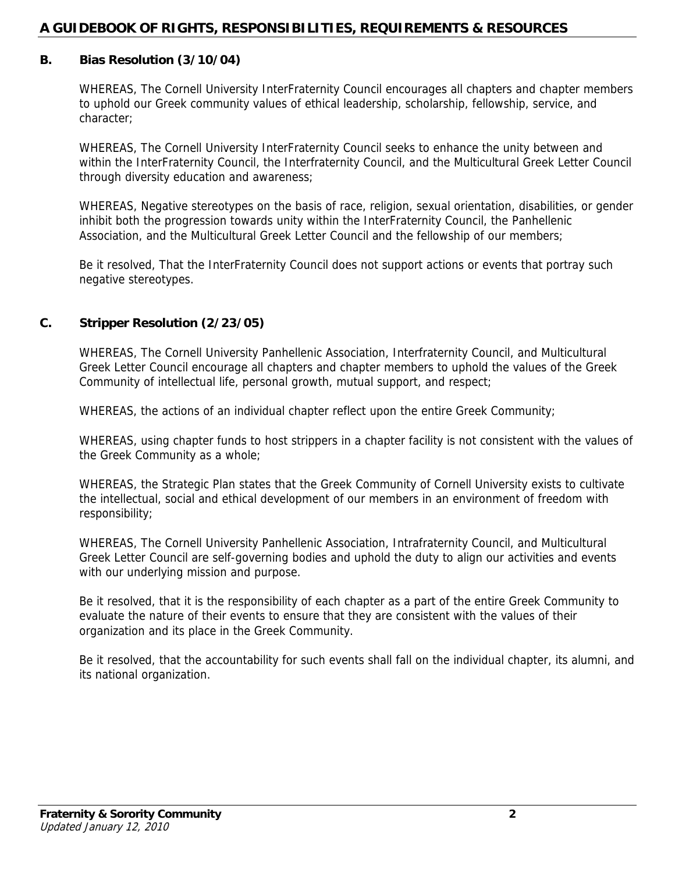#### **B. Bias Resolution (3/10/04)**

WHEREAS, The Cornell University InterFraternity Council encourages all chapters and chapter members to uphold our Greek community values of ethical leadership, scholarship, fellowship, service, and character;

WHEREAS, The Cornell University InterFraternity Council seeks to enhance the unity between and within the InterFraternity Council, the Interfraternity Council, and the Multicultural Greek Letter Council through diversity education and awareness;

WHEREAS, Negative stereotypes on the basis of race, religion, sexual orientation, disabilities, or gender inhibit both the progression towards unity within the InterFraternity Council, the Panhellenic Association, and the Multicultural Greek Letter Council and the fellowship of our members;

Be it resolved, That the InterFraternity Council does not support actions or events that portray such negative stereotypes.

#### **C. Stripper Resolution (2/23/05)**

WHEREAS, The Cornell University Panhellenic Association, Interfraternity Council, and Multicultural Greek Letter Council encourage all chapters and chapter members to uphold the values of the Greek Community of intellectual life, personal growth, mutual support, and respect;

WHEREAS, the actions of an individual chapter reflect upon the entire Greek Community;

WHEREAS, using chapter funds to host strippers in a chapter facility is not consistent with the values of the Greek Community as a whole;

WHEREAS, the Strategic Plan states that the Greek Community of Cornell University exists to cultivate the intellectual, social and ethical development of our members in an environment of freedom with responsibility;

WHEREAS, The Cornell University Panhellenic Association, Intrafraternity Council, and Multicultural Greek Letter Council are self-governing bodies and uphold the duty to align our activities and events with our underlying mission and purpose.

Be it resolved, that it is the responsibility of each chapter as a part of the entire Greek Community to evaluate the nature of their events to ensure that they are consistent with the values of their organization and its place in the Greek Community.

Be it resolved, that the accountability for such events shall fall on the individual chapter, its alumni, and its national organization.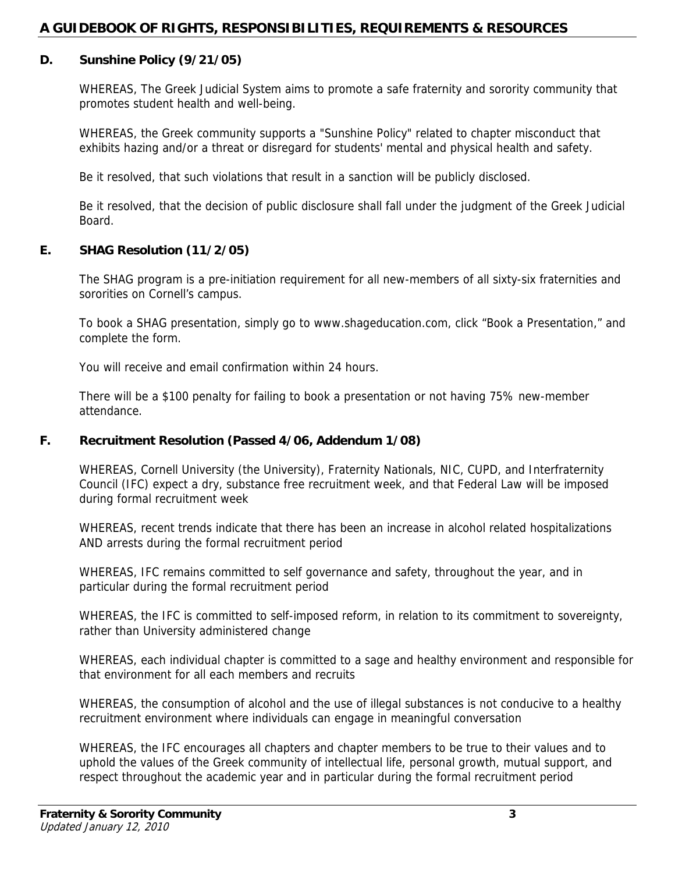#### **D. Sunshine Policy (9/21/05)**

WHEREAS, The Greek Judicial System aims to promote a safe fraternity and sorority community that promotes student health and well-being.

WHEREAS, the Greek community supports a "Sunshine Policy" related to chapter misconduct that exhibits hazing and/or a threat or disregard for students' mental and physical health and safety.

Be it resolved, that such violations that result in a sanction will be publicly disclosed.

Be it resolved, that the decision of public disclosure shall fall under the judgment of the Greek Judicial Board.

#### **E. SHAG Resolution (11/2/05)**

The SHAG program is a pre-initiation requirement for all new-members of all sixty-six fraternities and sororities on Cornell's campus.

To book a SHAG presentation, simply go to www.shageducation.com, click "Book a Presentation," and complete the form.

You will receive and email confirmation within 24 hours.

There will be a \$100 penalty for failing to book a presentation or not having 75% new-member attendance.

#### **F. Recruitment Resolution (Passed 4/06, Addendum 1/08)**

WHEREAS, Cornell University (the University), Fraternity Nationals, NIC, CUPD, and Interfraternity Council (IFC) expect a dry, substance free recruitment week, and that Federal Law will be imposed during formal recruitment week

WHEREAS, recent trends indicate that there has been an increase in alcohol related hospitalizations AND arrests during the formal recruitment period

WHEREAS, IFC remains committed to self governance and safety, throughout the year, and in particular during the formal recruitment period

WHEREAS, the IFC is committed to self-imposed reform, in relation to its commitment to sovereignty, rather than University administered change

WHEREAS, each individual chapter is committed to a sage and healthy environment and responsible for that environment for all each members and recruits

WHEREAS, the consumption of alcohol and the use of illegal substances is not conducive to a healthy recruitment environment where individuals can engage in meaningful conversation

WHEREAS, the IFC encourages all chapters and chapter members to be true to their values and to uphold the values of the Greek community of intellectual life, personal growth, mutual support, and respect throughout the academic year and in particular during the formal recruitment period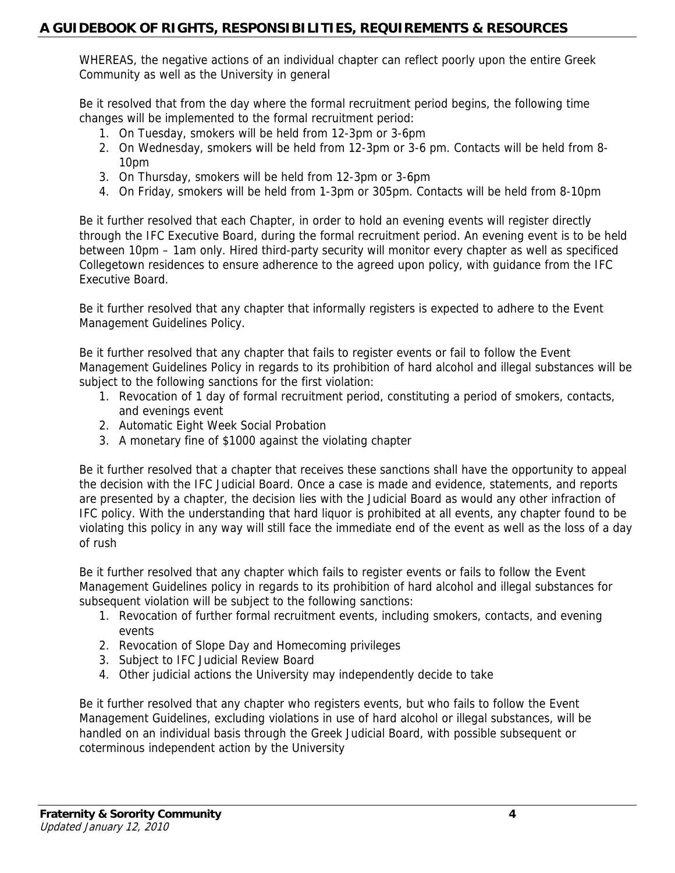WHEREAS, the negative actions of an individual chapter can reflect poorly upon the entire Greek Community as well as the University in general

Be it resolved that from the day where the formal recruitment period begins, the following time changes will be implemented to the formal recruitment period:

- 1. On Tuesday, smokers will be held from 12-3pm or 3-6pm
- 2. On Wednesday, smokers will be held from 12-3pm or 3-6 pm. Contacts will be held from 8- 10pm
- 3. On Thursday, smokers will be held from 12-3pm or 3-6pm
- 4. On Friday, smokers will be held from 1-3pm or 305pm. Contacts will be held from 8-10pm

Be it further resolved that each Chapter, in order to hold an evening events will register directly through the IFC Executive Board, during the formal recruitment period. An evening event is to be held between 10pm – 1am only. Hired third-party security will monitor every chapter as well as specificed Collegetown residences to ensure adherence to the agreed upon policy, with guidance from the IFC Executive Board.

Be it further resolved that any chapter that informally registers is expected to adhere to the Event Management Guidelines Policy.

Be it further resolved that any chapter that fails to register events or fail to follow the Event Management Guidelines Policy in regards to its prohibition of hard alcohol and illegal substances will be subject to the following sanctions for the first violation:

- 1. Revocation of 1 day of formal recruitment period, constituting a period of smokers, contacts, and evenings event
- 2. Automatic Eight Week Social Probation
- 3. A monetary fine of \$1000 against the violating chapter

Be it further resolved that a chapter that receives these sanctions shall have the opportunity to appeal the decision with the IFC Judicial Board. Once a case is made and evidence, statements, and reports are presented by a chapter, the decision lies with the Judicial Board as would any other infraction of IFC policy. With the understanding that hard liquor is prohibited at all events, any chapter found to be violating this policy in any way will still face the immediate end of the event as well as the loss of a day of rush

Be it further resolved that any chapter which fails to register events or fails to follow the Event Management Guidelines policy in regards to its prohibition of hard alcohol and illegal substances for subsequent violation will be subject to the following sanctions:

- 1. Revocation of further formal recruitment events, including smokers, contacts, and evening events
- 2. Revocation of Slope Day and Homecoming privileges
- 3. Subject to IFC Judicial Review Board
- 4. Other judicial actions the University may independently decide to take

Be it further resolved that any chapter who registers events, but who fails to follow the Event Management Guidelines, excluding violations in use of hard alcohol or illegal substances, will be handled on an individual basis through the Greek Judicial Board, with possible subsequent or coterminous independent action by the University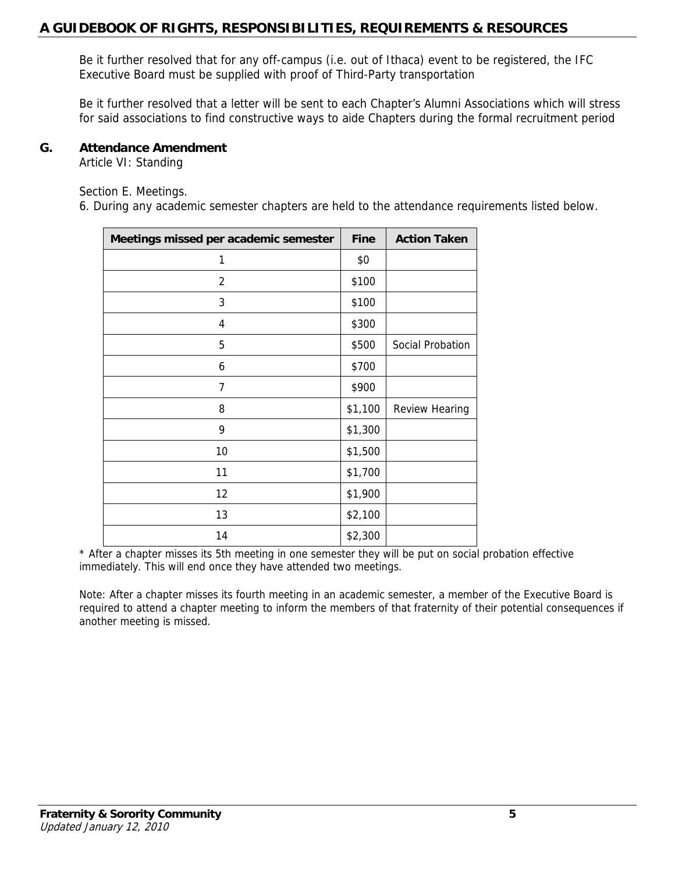Be it further resolved that for any off-campus (i.e. out of Ithaca) event to be registered, the IFC Executive Board must be supplied with proof of Third-Party transportation

Be it further resolved that a letter will be sent to each Chapter's Alumni Associations which will stress for said associations to find constructive ways to aide Chapters during the formal recruitment period

#### **G. Attendance Amendment**

Article VI: Standing

Section E. Meetings.

6. During any academic semester chapters are held to the attendance requirements listed below.

| Meetings missed per academic semester | <b>Fine</b> | <b>Action Taken</b>   |
|---------------------------------------|-------------|-----------------------|
| 1                                     | \$0         |                       |
| $\overline{2}$                        | \$100       |                       |
| 3                                     | \$100       |                       |
| 4                                     | \$300       |                       |
| 5                                     | \$500       | Social Probation      |
| 6                                     | \$700       |                       |
| 7                                     | \$900       |                       |
| 8                                     | \$1,100     | <b>Review Hearing</b> |
| 9                                     | \$1,300     |                       |
| 10                                    | \$1,500     |                       |
| 11                                    | \$1,700     |                       |
| 12                                    | \$1,900     |                       |
| 13                                    | \$2,100     |                       |
| 14                                    | \$2,300     |                       |

\* After a chapter misses its 5th meeting in one semester they will be put on social probation effective immediately. This will end once they have attended two meetings.

Note: After a chapter misses its fourth meeting in an academic semester, a member of the Executive Board is required to attend a chapter meeting to inform the members of that fraternity of their potential consequences if another meeting is missed.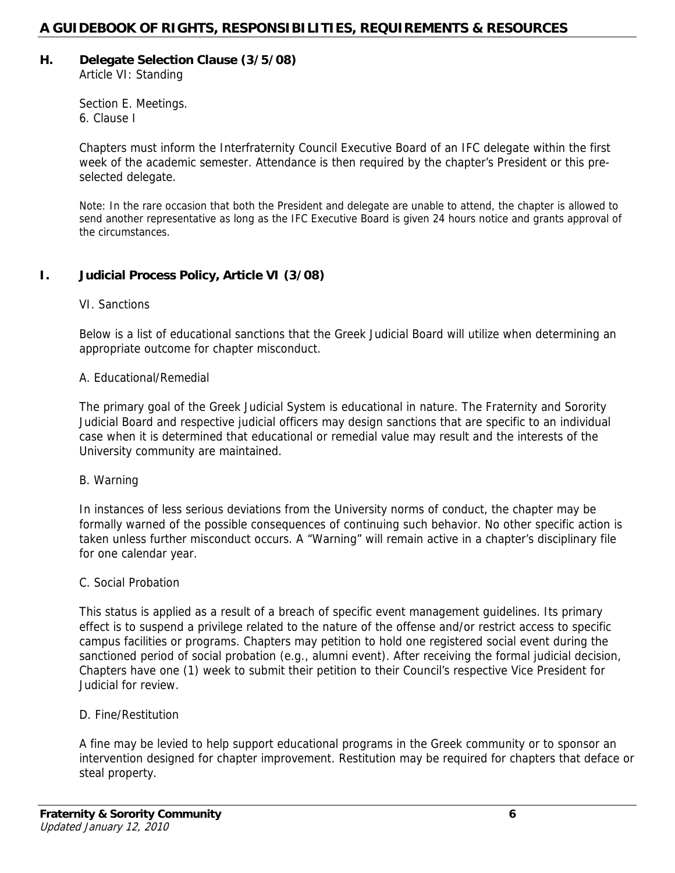# **H. Delegate Selection Clause (3/5/08)**

Article VI: Standing

Section E. Meetings. 6. Clause I

Chapters must inform the Interfraternity Council Executive Board of an IFC delegate within the first week of the academic semester. Attendance is then required by the chapter's President or this preselected delegate.

Note: In the rare occasion that both the President and delegate are unable to attend, the chapter is allowed to send another representative as long as the IFC Executive Board is given 24 hours notice and grants approval of the circumstances.

## **I. Judicial Process Policy, Article VI (3/08)**

## VI. Sanctions

Below is a list of educational sanctions that the Greek Judicial Board will utilize when determining an appropriate outcome for chapter misconduct.

## A. Educational/Remedial

The primary goal of the Greek Judicial System is educational in nature. The Fraternity and Sorority Judicial Board and respective judicial officers may design sanctions that are specific to an individual case when it is determined that educational or remedial value may result and the interests of the University community are maintained.

### B. Warning

In instances of less serious deviations from the University norms of conduct, the chapter may be formally warned of the possible consequences of continuing such behavior. No other specific action is taken unless further misconduct occurs. A "Warning" will remain active in a chapter's disciplinary file for one calendar year.

### C. Social Probation

This status is applied as a result of a breach of specific event management guidelines. Its primary effect is to suspend a privilege related to the nature of the offense and/or restrict access to specific campus facilities or programs. Chapters may petition to hold one registered social event during the sanctioned period of social probation (e.g., alumni event). After receiving the formal judicial decision, Chapters have one (1) week to submit their petition to their Council's respective Vice President for Judicial for review.

### D. Fine/Restitution

A fine may be levied to help support educational programs in the Greek community or to sponsor an intervention designed for chapter improvement. Restitution may be required for chapters that deface or steal property.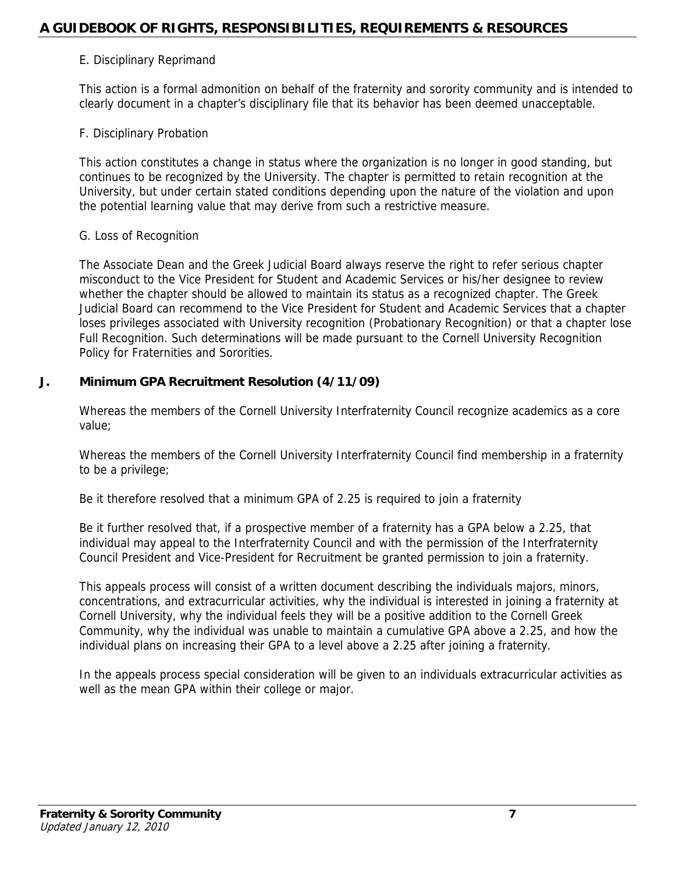#### E. Disciplinary Reprimand

This action is a formal admonition on behalf of the fraternity and sorority community and is intended to clearly document in a chapter's disciplinary file that its behavior has been deemed unacceptable.

#### F. Disciplinary Probation

This action constitutes a change in status where the organization is no longer in good standing, but continues to be recognized by the University. The chapter is permitted to retain recognition at the University, but under certain stated conditions depending upon the nature of the violation and upon the potential learning value that may derive from such a restrictive measure.

#### G. Loss of Recognition

The Associate Dean and the Greek Judicial Board always reserve the right to refer serious chapter misconduct to the Vice President for Student and Academic Services or his/her designee to review whether the chapter should be allowed to maintain its status as a recognized chapter. The Greek Judicial Board can recommend to the Vice President for Student and Academic Services that a chapter loses privileges associated with University recognition (Probationary Recognition) or that a chapter lose Full Recognition. Such determinations will be made pursuant to the Cornell University Recognition Policy for Fraternities and Sororities.

#### **J. Minimum GPA Recruitment Resolution (4/11/09)**

Whereas the members of the Cornell University Interfraternity Council recognize academics as a core value;

Whereas the members of the Cornell University Interfraternity Council find membership in a fraternity to be a privilege;

Be it therefore resolved that a minimum GPA of 2.25 is required to join a fraternity

Be it further resolved that, if a prospective member of a fraternity has a GPA below a 2.25, that individual may appeal to the Interfraternity Council and with the permission of the Interfraternity Council President and Vice-President for Recruitment be granted permission to join a fraternity.

This appeals process will consist of a written document describing the individuals majors, minors, concentrations, and extracurricular activities, why the individual is interested in joining a fraternity at Cornell University, why the individual feels they will be a positive addition to the Cornell Greek Community, why the individual was unable to maintain a cumulative GPA above a 2.25, and how the individual plans on increasing their GPA to a level above a 2.25 after joining a fraternity.

In the appeals process special consideration will be given to an individuals extracurricular activities as well as the mean GPA within their college or major.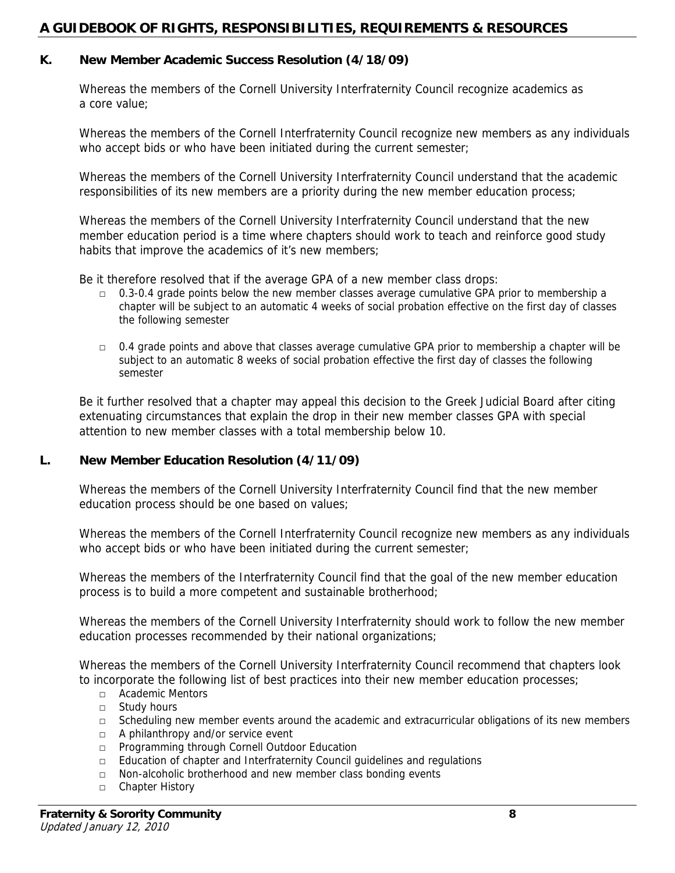#### **K. New Member Academic Success Resolution (4/18/09)**

Whereas the members of the Cornell University Interfraternity Council recognize academics as a core value;

Whereas the members of the Cornell Interfraternity Council recognize new members as any individuals who accept bids or who have been initiated during the current semester;

Whereas the members of the Cornell University Interfraternity Council understand that the academic responsibilities of its new members are a priority during the new member education process;

Whereas the members of the Cornell University Interfraternity Council understand that the new member education period is a time where chapters should work to teach and reinforce good study habits that improve the academics of it's new members;

Be it therefore resolved that if the average GPA of a new member class drops:

- $\Box$  0.3-0.4 grade points below the new member classes average cumulative GPA prior to membership a chapter will be subject to an automatic 4 weeks of social probation effective on the first day of classes the following semester
- $\Box$  0.4 grade points and above that classes average cumulative GPA prior to membership a chapter will be subject to an automatic 8 weeks of social probation effective the first day of classes the following semester

Be it further resolved that a chapter may appeal this decision to the Greek Judicial Board after citing extenuating circumstances that explain the drop in their new member classes GPA with special attention to new member classes with a total membership below 10.

#### **L. New Member Education Resolution (4/11/09)**

Whereas the members of the Cornell University Interfraternity Council find that the new member education process should be one based on values;

Whereas the members of the Cornell Interfraternity Council recognize new members as any individuals who accept bids or who have been initiated during the current semester;

Whereas the members of the Interfraternity Council find that the goal of the new member education process is to build a more competent and sustainable brotherhood;

Whereas the members of the Cornell University Interfraternity should work to follow the new member education processes recommended by their national organizations;

Whereas the members of the Cornell University Interfraternity Council recommend that chapters look to incorporate the following list of best practices into their new member education processes;

- □ Academic Mentors
- □ Study hours
- □ Scheduling new member events around the academic and extracurricular obligations of its new members
- □ A philanthropy and/or service event
- □ Programming through Cornell Outdoor Education
- □ Education of chapter and Interfraternity Council guidelines and regulations
- □ Non-alcoholic brotherhood and new member class bonding events
- □ Chapter History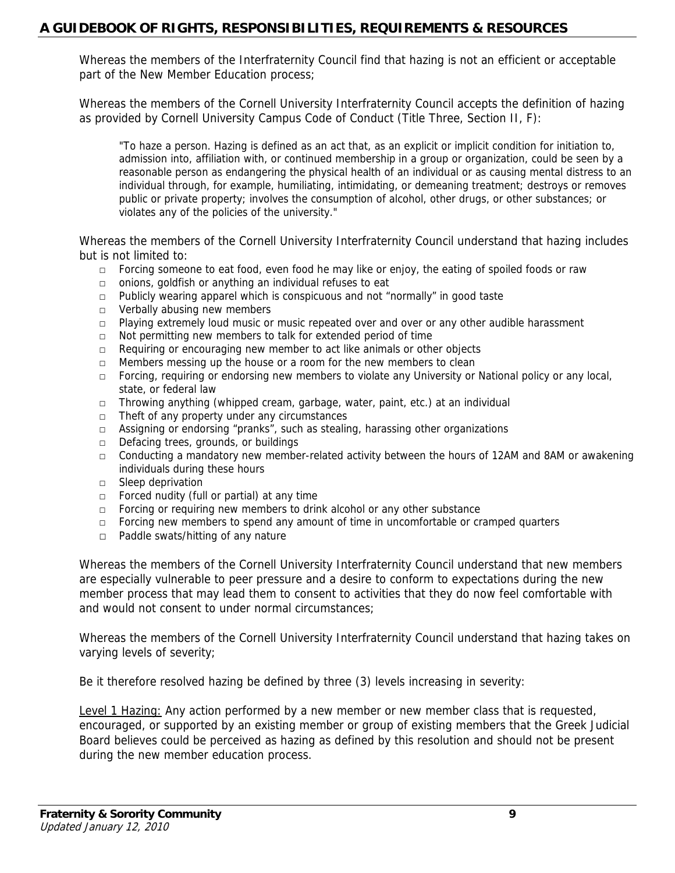Whereas the members of the Interfraternity Council find that hazing is not an efficient or acceptable part of the New Member Education process;

Whereas the members of the Cornell University Interfraternity Council accepts the definition of hazing as provided by Cornell University Campus Code of Conduct (Title Three, Section II, F):

"To haze a person. Hazing is defined as an act that, as an explicit or implicit condition for initiation to, admission into, affiliation with, or continued membership in a group or organization, could be seen by a reasonable person as endangering the physical health of an individual or as causing mental distress to an individual through, for example, humiliating, intimidating, or demeaning treatment; destroys or removes public or private property; involves the consumption of alcohol, other drugs, or other substances; or violates any of the policies of the university."

Whereas the members of the Cornell University Interfraternity Council understand that hazing includes but is not limited to:

- $\Box$  Forcing someone to eat food, even food he may like or enjoy, the eating of spoiled foods or raw
- □ onions, goldfish or anything an individual refuses to eat
- $\Box$  Publicly wearing apparel which is conspicuous and not "normally" in good taste
- □ Verbally abusing new members
- $\Box$  Playing extremely loud music or music repeated over and over or any other audible harassment
- □ Not permitting new members to talk for extended period of time
- □ Requiring or encouraging new member to act like animals or other objects
- $\Box$  Members messing up the house or a room for the new members to clean
- □ Forcing, requiring or endorsing new members to violate any University or National policy or any local, state, or federal law
- □ Throwing anything (whipped cream, garbage, water, paint, etc.) at an individual
- □ Theft of any property under any circumstances
- □ Assigning or endorsing "pranks", such as stealing, harassing other organizations
- □ Defacing trees, grounds, or buildings
- $\Box$  Conducting a mandatory new member-related activity between the hours of 12AM and 8AM or awakening individuals during these hours
- □ Sleep deprivation
- □ Forced nudity (full or partial) at any time
- $\Box$  Forcing or requiring new members to drink alcohol or any other substance
- □ Forcing new members to spend any amount of time in uncomfortable or cramped quarters
- □ Paddle swats/hitting of any nature

Whereas the members of the Cornell University Interfraternity Council understand that new members are especially vulnerable to peer pressure and a desire to conform to expectations during the new member process that may lead them to consent to activities that they do now feel comfortable with and would not consent to under normal circumstances;

Whereas the members of the Cornell University Interfraternity Council understand that hazing takes on varying levels of severity;

Be it therefore resolved hazing be defined by three (3) levels increasing in severity:

Level 1 Hazing: Any action performed by a new member or new member class that is requested, encouraged, or supported by an existing member or group of existing members that the Greek Judicial Board believes could be perceived as hazing as defined by this resolution and should not be present during the new member education process.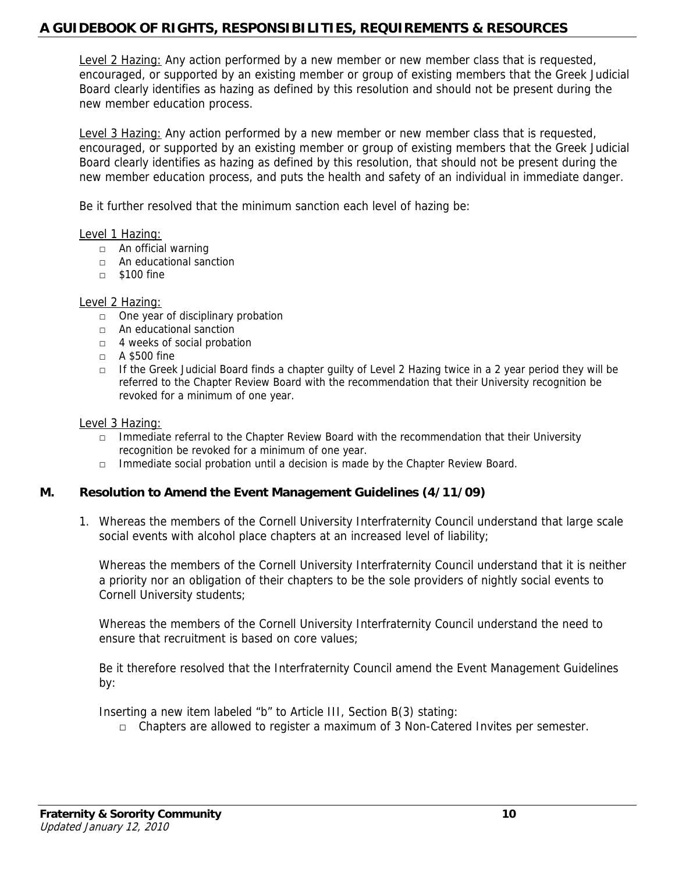Level 2 Hazing: Any action performed by a new member or new member class that is requested, encouraged, or supported by an existing member or group of existing members that the Greek Judicial Board clearly identifies as hazing as defined by this resolution and should not be present during the new member education process.

Level 3 Hazing: Any action performed by a new member or new member class that is requested, encouraged, or supported by an existing member or group of existing members that the Greek Judicial Board clearly identifies as hazing as defined by this resolution, that should not be present during the new member education process, and puts the health and safety of an individual in immediate danger.

Be it further resolved that the minimum sanction each level of hazing be:

#### Level 1 Hazing:

- □ An official warning
- □ An educational sanction
- □ \$100 fine

#### Level 2 Hazing:

- □ One year of disciplinary probation
- □ An educational sanction
- □ 4 weeks of social probation
- □ A \$500 fine
- $\Box$  If the Greek Judicial Board finds a chapter quilty of Level 2 Hazing twice in a 2 year period they will be referred to the Chapter Review Board with the recommendation that their University recognition be revoked for a minimum of one year.

#### Level 3 Hazing:

- $\Box$  Immediate referral to the Chapter Review Board with the recommendation that their University recognition be revoked for a minimum of one year.
- $\Box$  Immediate social probation until a decision is made by the Chapter Review Board.

#### **M. Resolution to Amend the Event Management Guidelines (4/11/09)**

1. Whereas the members of the Cornell University Interfraternity Council understand that large scale social events with alcohol place chapters at an increased level of liability;

Whereas the members of the Cornell University Interfraternity Council understand that it is neither a priority nor an obligation of their chapters to be the sole providers of nightly social events to Cornell University students;

Whereas the members of the Cornell University Interfraternity Council understand the need to ensure that recruitment is based on core values;

Be it therefore resolved that the Interfraternity Council amend the Event Management Guidelines by:

Inserting a new item labeled "b" to Article III, Section B(3) stating:

 $\Box$  Chapters are allowed to register a maximum of 3 Non-Catered Invites per semester.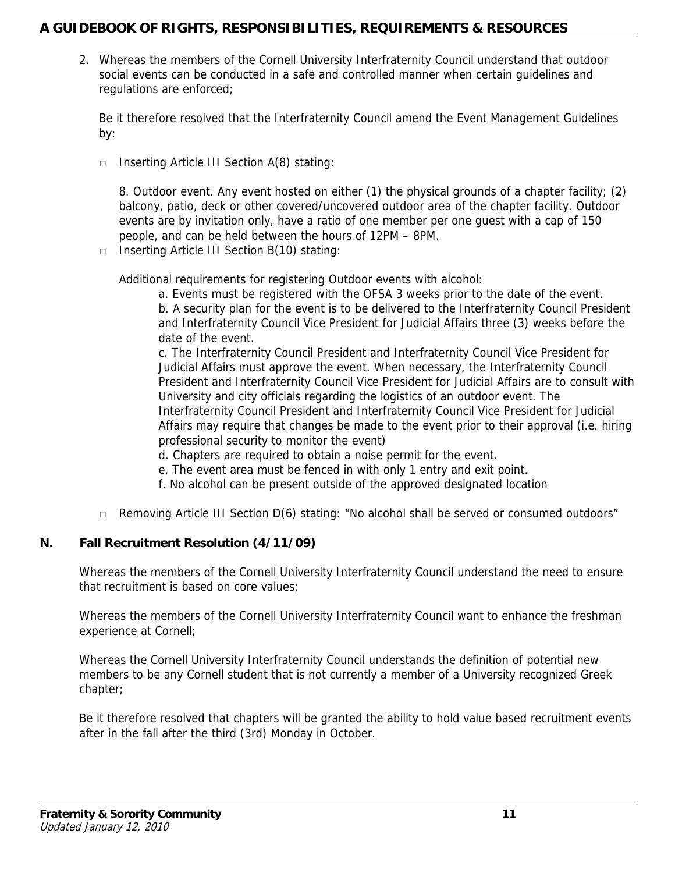2. Whereas the members of the Cornell University Interfraternity Council understand that outdoor social events can be conducted in a safe and controlled manner when certain guidelines and regulations are enforced;

Be it therefore resolved that the Interfraternity Council amend the Event Management Guidelines by:

□ Inserting Article III Section A(8) stating:

8. Outdoor event. Any event hosted on either (1) the physical grounds of a chapter facility; (2) balcony, patio, deck or other covered/uncovered outdoor area of the chapter facility. Outdoor events are by invitation only, have a ratio of one member per one guest with a cap of 150 people, and can be held between the hours of 12PM – 8PM.

□ Inserting Article III Section B(10) stating:

Additional requirements for registering Outdoor events with alcohol:

a. Events must be registered with the OFSA 3 weeks prior to the date of the event. b. A security plan for the event is to be delivered to the Interfraternity Council President and Interfraternity Council Vice President for Judicial Affairs three (3) weeks before the date of the event.

c. The Interfraternity Council President and Interfraternity Council Vice President for Judicial Affairs must approve the event. When necessary, the Interfraternity Council President and Interfraternity Council Vice President for Judicial Affairs are to consult with University and city officials regarding the logistics of an outdoor event. The Interfraternity Council President and Interfraternity Council Vice President for Judicial Affairs may require that changes be made to the event prior to their approval (i.e. hiring professional security to monitor the event)

- d. Chapters are required to obtain a noise permit for the event.
- e. The event area must be fenced in with only 1 entry and exit point.
- f. No alcohol can be present outside of the approved designated location
- $\Box$  Removing Article III Section D(6) stating: "No alcohol shall be served or consumed outdoors"

### **N. Fall Recruitment Resolution (4/11/09)**

Whereas the members of the Cornell University Interfraternity Council understand the need to ensure that recruitment is based on core values;

Whereas the members of the Cornell University Interfraternity Council want to enhance the freshman experience at Cornell;

Whereas the Cornell University Interfraternity Council understands the definition of potential new members to be any Cornell student that is not currently a member of a University recognized Greek chapter;

Be it therefore resolved that chapters will be granted the ability to hold value based recruitment events after in the fall after the third (3rd) Monday in October.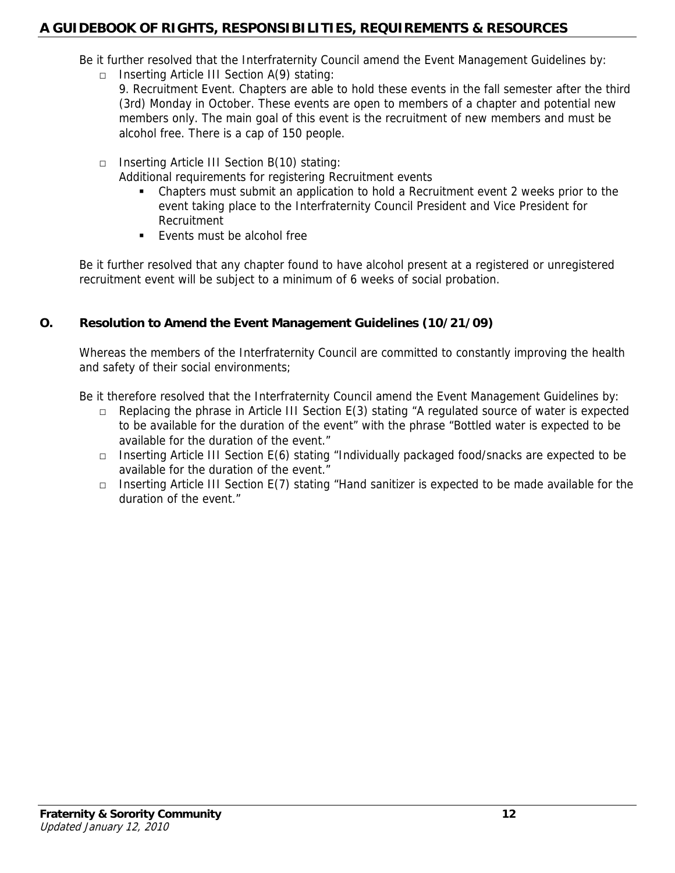Be it further resolved that the Interfraternity Council amend the Event Management Guidelines by:

- □ Inserting Article III Section A(9) stating:
	- 9. Recruitment Event. Chapters are able to hold these events in the fall semester after the third (3rd) Monday in October. These events are open to members of a chapter and potential new members only. The main goal of this event is the recruitment of new members and must be alcohol free. There is a cap of 150 people.
- □ Inserting Article III Section B(10) stating:
	- Additional requirements for registering Recruitment events
		- Chapters must submit an application to hold a Recruitment event 2 weeks prior to the event taking place to the Interfraternity Council President and Vice President for Recruitment
		- **Events must be alcohol free**

Be it further resolved that any chapter found to have alcohol present at a registered or unregistered recruitment event will be subject to a minimum of 6 weeks of social probation.

## **O. Resolution to Amend the Event Management Guidelines (10/21/09)**

Whereas the members of the Interfraternity Council are committed to constantly improving the health and safety of their social environments;

Be it therefore resolved that the Interfraternity Council amend the Event Management Guidelines by:

- □ Replacing the phrase in Article III Section E(3) stating "A regulated source of water is expected to be available for the duration of the event" with the phrase "Bottled water is expected to be available for the duration of the event."
- □ Inserting Article III Section E(6) stating "Individually packaged food/snacks are expected to be available for the duration of the event."
- □ Inserting Article III Section E(7) stating "Hand sanitizer is expected to be made available for the duration of the event."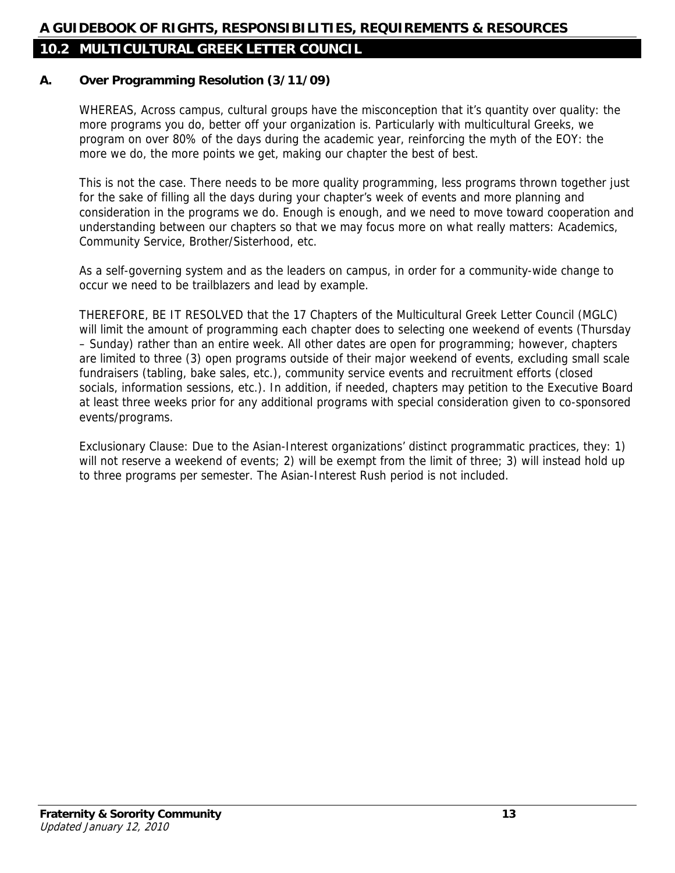## **10.2 MULTICULTURAL GREEK LETTER COUNCIL**

#### **A. Over Programming Resolution (3/11/09)**

WHEREAS, Across campus, cultural groups have the misconception that it's quantity over quality: the more programs you do, better off your organization is. Particularly with multicultural Greeks, we program on over 80% of the days during the academic year, reinforcing the myth of the EOY: the more we do, the more points we get, making our chapter the best of best.

This is not the case. There needs to be more quality programming, less programs thrown together just for the sake of filling all the days during your chapter's week of events and more planning and consideration in the programs we do. Enough is enough, and we need to move toward cooperation and understanding between our chapters so that we may focus more on what really matters: Academics, Community Service, Brother/Sisterhood, etc.

As a self-governing system and as the leaders on campus, in order for a community-wide change to occur we need to be trailblazers and lead by example.

THEREFORE, BE IT RESOLVED that the 17 Chapters of the Multicultural Greek Letter Council (MGLC) will limit the amount of programming each chapter does to selecting one weekend of events (Thursday – Sunday) rather than an entire week. All other dates are open for programming; however, chapters are limited to three (3) open programs outside of their major weekend of events, excluding small scale fundraisers (tabling, bake sales, etc.), community service events and recruitment efforts (closed socials, information sessions, etc.). In addition, if needed, chapters may petition to the Executive Board at least three weeks prior for any additional programs with special consideration given to co-sponsored events/programs.

Exclusionary Clause: Due to the Asian-Interest organizations' distinct programmatic practices, they: 1) will not reserve a weekend of events; 2) will be exempt from the limit of three; 3) will instead hold up to three programs per semester. The Asian-Interest Rush period is not included.